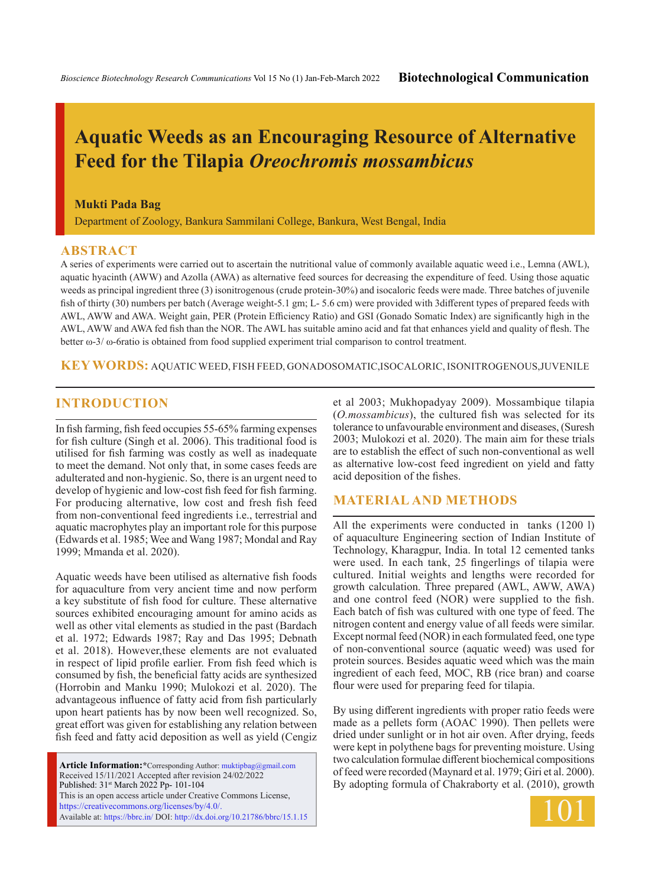# **Aquatic Weeds as an Encouraging Resource of Alternative Feed for the Tilapia** *Oreochromis mossambicus*

#### **Mukti Pada Bag**

Department of Zoology, Bankura Sammilani College, Bankura, West Bengal, India

#### **ABSTRACT**

A series of experiments were carried out to ascertain the nutritional value of commonly available aquatic weed i.e., Lemna (AWL), aquatic hyacinth (AWW) and Azolla (AWA) as alternative feed sources for decreasing the expenditure of feed. Using those aquatic weeds as principal ingredient three (3) isonitrogenous (crude protein-30%) and isocaloric feeds were made. Three batches of juvenile fish of thirty (30) numbers per batch (Average weight-5.1 gm; L- 5.6 cm) were provided with 3different types of prepared feeds with AWL, AWW and AWA. Weight gain, PER (Protein Efficiency Ratio) and GSI (Gonado Somatic Index) are significantly high in the AWL, AWW and AWA fed fish than the NOR. The AWL has suitable amino acid and fat that enhances yield and quality of flesh. The better ω-3/ ω-6ratio is obtained from food supplied experiment trial comparison to control treatment.

**KEY WORDS:** Aquatic weed, fish feed, Gonadosomatic,Isocaloric, Isonitrogenous,Juvenile

## **INTRODUCTION**

In fish farming, fish feed occupies 55-65% farming expenses for fish culture (Singh et al. 2006). This traditional food is utilised for fish farming was costly as well as inadequate to meet the demand. Not only that, in some cases feeds are adulterated and non-hygienic. So, there is an urgent need to develop of hygienic and low-cost fish feed for fish farming. For producing alternative, low cost and fresh fish feed from non-conventional feed ingredients i.e., terrestrial and aquatic macrophytes play an important role for this purpose (Edwards et al. 1985; Wee and Wang 1987; Mondal and Ray 1999; Mmanda et al. 2020).

Aquatic weeds have been utilised as alternative fish foods for aquaculture from very ancient time and now perform a key substitute of fish food for culture. These alternative sources exhibited encouraging amount for amino acids as well as other vital elements as studied in the past (Bardach et al. 1972; Edwards 1987; Ray and Das 1995; Debnath et al. 2018). However,these elements are not evaluated in respect of lipid profile earlier. From fish feed which is consumed by fish, the beneficial fatty acids are synthesized (Horrobin and Manku 1990; Mulokozi et al. 2020). The advantageous influence of fatty acid from fish particularly upon heart patients has by now been well recognized. So, great effort was given for establishing any relation between fish feed and fatty acid deposition as well as yield (Cengiz

**Article Information:\***Corresponding Author: muktipbag@gmail.com Received 15/11/2021 Accepted after revision 24/02/2022 Published: 31st March 2022 Pp- 101-104 This is an open access article under Creative Commons License, https://creativecommons.org/licenses/by/4.0/. Available at: https://bbrc.in/ DOI: http://dx.doi.org/10.21786/bbrc/15.1.15 et al 2003; Mukhopadyay 2009). Mossambique tilapia (*O.mossambicus*), the cultured fish was selected for its tolerance to unfavourable environment and diseases, (Suresh 2003; Mulokozi et al. 2020). The main aim for these trials are to establish the effect of such non-conventional as well as alternative low-cost feed ingredient on yield and fatty acid deposition of the fishes.

#### **MATERIAL AND METHODS**

All the experiments were conducted in tanks (1200 l) of aquaculture Engineering section of Indian Institute of Technology, Kharagpur, India. In total 12 cemented tanks were used. In each tank, 25 fingerlings of tilapia were cultured. Initial weights and lengths were recorded for growth calculation. Three prepared (AWL, AWW, AWA) and one control feed (NOR) were supplied to the fish. Each batch of fish was cultured with one type of feed. The nitrogen content and energy value of all feeds were similar. Except normal feed (NOR) in each formulated feed, one type of non-conventional source (aquatic weed) was used for protein sources. Besides aquatic weed which was the main ingredient of each feed, MOC, RB (rice bran) and coarse flour were used for preparing feed for tilapia.

By using different ingredients with proper ratio feeds were made as a pellets form (AOAC 1990). Then pellets were dried under sunlight or in hot air oven. After drying, feeds were kept in polythene bags for preventing moisture. Using two calculation formulae different biochemical compositions of feed were recorded (Maynard et al. 1979; Giri et al. 2000). By adopting formula of Chakraborty et al. (2010), growth

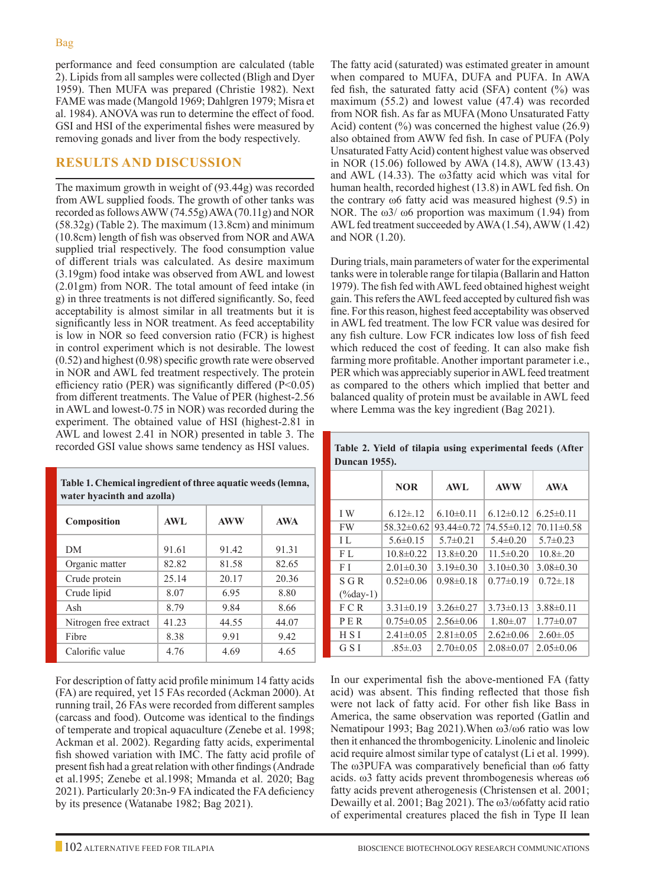performance and feed consumption are calculated (table 2). Lipids from all samples were collected (Bligh and Dyer 1959). Then MUFA was prepared (Christie 1982). Next FAME was made (Mangold 1969; Dahlgren 1979; Misra et al. 1984). ANOVA was run to determine the effect of food. GSI and HSI of the experimental fishes were measured by removing gonads and liver from the body respectively.

## **RESULTS AND DISCUSSION**

The maximum growth in weight of (93.44g) was recorded from AWL supplied foods. The growth of other tanks was recorded as follows AWW (74.55g) AWA (70.11g) and NOR  $(58.32)$  (Table 2). The maximum  $(13.8cm)$  and minimum (10.8cm) length of fish was observed from NOR and AWA supplied trial respectively. The food consumption value of different trials was calculated. As desire maximum (3.19gm) food intake was observed from AWL and lowest (2.01gm) from NOR. The total amount of feed intake (in g) in three treatments is not differed significantly. So, feed acceptability is almost similar in all treatments but it is significantly less in NOR treatment. As feed acceptability is low in NOR so feed conversion ratio (FCR) is highest in control experiment which is not desirable. The lowest (0.52) and highest (0.98) specific growth rate were observed in NOR and AWL fed treatment respectively. The protein efficiency ratio (PER) was significantly differed (P<0.05) from different treatments. The Value of PER (highest-2.56 in AWL and lowest-0.75 in NOR) was recorded during the experiment. The obtained value of HSI (highest-2.81 in AWL and lowest 2.41 in NOR) presented in table 3. The recorded GSI value shows same tendency as HSI values.

| Table 1. Chemical ingredient of three aquatic weeds (lemna,<br>water hyacinth and azolla) |       |            |            |  |  |  |  |
|-------------------------------------------------------------------------------------------|-------|------------|------------|--|--|--|--|
| Composition                                                                               | AWL   | <b>AWW</b> | <b>AWA</b> |  |  |  |  |
| DM                                                                                        | 91.61 | 91.42      | 91.31      |  |  |  |  |
| Organic matter                                                                            | 82.82 | 81.58      | 82.65      |  |  |  |  |
| Crude protein                                                                             | 25.14 | 20.17      | 20.36      |  |  |  |  |
| Crude lipid                                                                               | 8.07  | 6.95       | 8.80       |  |  |  |  |
| Ash                                                                                       | 8.79  | 9.84       | 8.66       |  |  |  |  |
| Nitrogen free extract                                                                     | 41.23 | 44.55      | 44.07      |  |  |  |  |
| Fibre                                                                                     | 8.38  | 9.91       | 9.42       |  |  |  |  |
| Calorific value                                                                           | 4.76  | 4.69       | 4.65       |  |  |  |  |

For description of fatty acid profile minimum 14 fatty acids (FA) are required, yet 15 FAs recorded (Ackman 2000). At running trail, 26 FAs were recorded from different samples (carcass and food). Outcome was identical to the findings of temperate and tropical aquaculture (Zenebe et al. 1998; Ackman et al. 2002). Regarding fatty acids, experimental fish showed variation with IMC. The fatty acid profile of present fish had a great relation with other findings (Andrade et al.1995; Zenebe et al.1998; Mmanda et al. 2020; Bag 2021). Particularly 20:3n-9 FA indicated the FA deficiency by its presence (Watanabe 1982; Bag 2021).

The fatty acid (saturated) was estimated greater in amount when compared to MUFA, DUFA and PUFA. In AWA fed fish, the saturated fatty acid (SFA) content (%) was maximum (55.2) and lowest value (47.4) was recorded from NOR fish. As far as MUFA (Mono Unsaturated Fatty Acid) content  $(\%)$  was concerned the highest value (26.9) also obtained from AWW fed fish. In case of PUFA (Poly Unsaturated Fatty Acid) content highest value was observed in NOR (15.06) followed by AWA (14.8), AWW (13.43) and AWL (14.33). The ω3fatty acid which was vital for human health, recorded highest (13.8) in AWL fed fish. On the contrary ω6 fatty acid was measured highest (9.5) in NOR. The  $\omega$ 3/ $\omega$ 6 proportion was maximum (1.94) from AWL fed treatment succeeded by AWA (1.54), AWW (1.42) and NOR (1.20).

During trials, main parameters of water for the experimental tanks were in tolerable range for tilapia (Ballarin and Hatton 1979). The fish fed with AWL feed obtained highest weight gain. This refers the AWL feed accepted by cultured fish was fine. For this reason, highest feed acceptability was observed in AWL fed treatment. The low FCR value was desired for any fish culture. Low FCR indicates low loss of fish feed which reduced the cost of feeding. It can also make fish farming more profitable. Another important parameter i.e., PER which was appreciably superior in AWL feed treatment as compared to the others which implied that better and balanced quality of protein must be available in AWL feed where Lemma was the key ingredient (Bag 2021).

| пинсан 1955). |                  |                  |                 |                  |  |  |  |  |
|---------------|------------------|------------------|-----------------|------------------|--|--|--|--|
|               | <b>NOR</b>       | AWL              | <b>AWW</b>      | <b>AWA</b>       |  |  |  |  |
| I W           | $6.12 \pm .12$   | $6.10 \pm 0.11$  | $6.12 \pm 0.12$ | $6.25 \pm 0.11$  |  |  |  |  |
| FW            | $58.32 \pm 0.62$ | $93.44 \pm 0.72$ | 74.55±0.12      | $70.11 \pm 0.58$ |  |  |  |  |
| I L           | $5.6 \pm 0.15$   | $5.7 \pm 0.21$   | $5.4 \pm 0.20$  | $5.7 \pm 0.23$   |  |  |  |  |
| F L           | $10.8 \pm 0.22$  | $13.8 \pm 0.20$  | $11.5 \pm 0.20$ | $10.8 \pm .20$   |  |  |  |  |
| F I           | $2.01 \pm 0.30$  | $3.19 \pm 0.30$  | $3.10 \pm 0.30$ | $3.08 \pm 0.30$  |  |  |  |  |
| S G R         | $0.52 \pm 0.06$  | $0.98 \pm 0.18$  | $0.77 \pm 0.19$ | $0.72 \pm 0.18$  |  |  |  |  |
| $(\%day-1)$   |                  |                  |                 |                  |  |  |  |  |
| FCR           | $3.31 \pm 0.19$  | $3.26 \pm 0.27$  | $3.73 \pm 0.13$ | $3.88 \pm 0.11$  |  |  |  |  |
| PER           | $0.75 \pm 0.05$  | $2.56\pm0.06$    | $1.80 \pm 0.07$ | $1.77 \pm 0.07$  |  |  |  |  |
| <b>HSI</b>    | $2.41 \pm 0.05$  | $2.81 \pm 0.05$  | $2.62 \pm 0.06$ | $2.60 \pm 0.05$  |  |  |  |  |
| GSI           | $.85{\pm}.03$    | $2.70 \pm 0.05$  | $2.08 \pm 0.07$ | $2.05 \pm 0.06$  |  |  |  |  |

In our experimental fish the above-mentioned FA (fatty acid) was absent. This finding reflected that those fish were not lack of fatty acid. For other fish like Bass in America, the same observation was reported (Gatlin and Nematipour 1993; Bag 2021).When ω3/ω6 ratio was low then it enhanced the thrombogenicity. Linolenic and linoleic acid require almost similar type of catalyst (Li et al. 1999). The ω3PUFA was comparatively beneficial than ω6 fatty acids. ω3 fatty acids prevent thrombogenesis whereas ω6 fatty acids prevent atherogenesis (Christensen et al. 2001; Dewailly et al. 2001; Bag 2021). The ω3/ω6fatty acid ratio of experimental creatures placed the fish in Type II lean

#### **Table 2. Yield of tilapia using experimental feeds (After Duncan 1955).**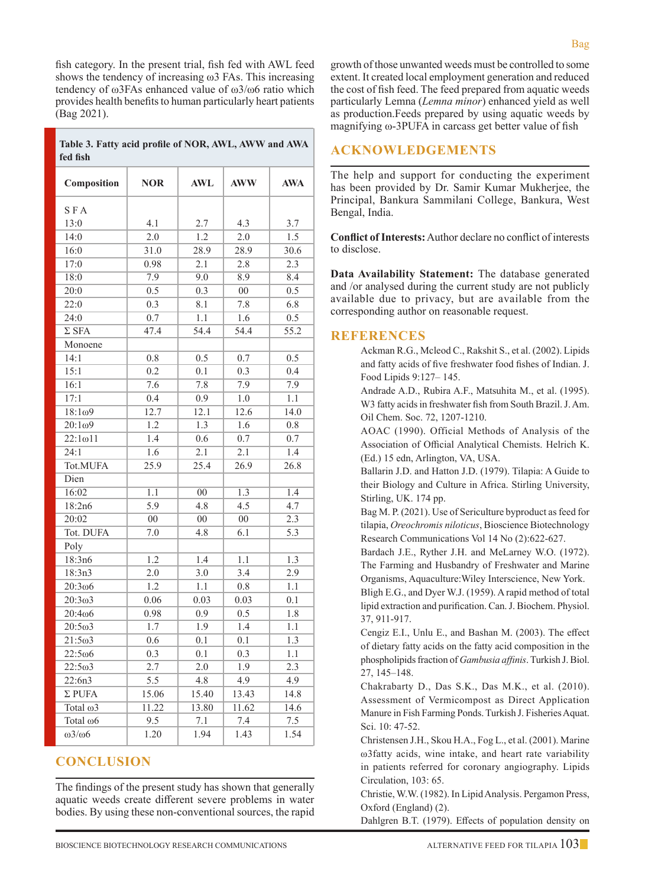fish category. In the present trial, fish fed with AWL feed shows the tendency of increasing ω3 FAs. This increasing tendency of ω3FAs enhanced value of ω3/ω6 ratio which provides health benefits to human particularly heart patients (Bag 2021).

**Table 3. Fatty acid profile of NOR, AWL, AWW and AWA fed fish** 

| Composition            | <b>NOR</b> | <b>AWL</b>     | <b>AWW</b> | <b>AWA</b>       |
|------------------------|------------|----------------|------------|------------------|
| <b>SFA</b>             |            |                |            |                  |
| 13:0                   | 4.1        | 2.7            | 4.3        | 3.7              |
| 14:0                   | 2.0        | 1.2            | 2.0        | 1.5              |
| 16:0                   | 31.0       | 28.9           | 28.9       | 30.6             |
| 17:0                   | 0.98       | 2.1            | 2.8        | 2.3              |
| 18:0                   | 7.9        | 9.0            | 8.9        | 8.4              |
| 20:0                   | 0.5        | 0.3            | 00         | 0.5              |
| 22:0                   | 0.3        | 8.1            | 7.8        | 6.8              |
| 24:0                   | 0.7        | 1.1            | 1.6        | 0.5              |
| $\Sigma$ SFA           | 47.4       | 54.4           | 54.4       | 55.2             |
| Monoene                |            |                |            |                  |
| 14:1                   | 0.8        | 0.5            | 0.7        | 0.5              |
| 15:1                   | 0.2        | 0.1            | 0.3        | 0.4              |
| 16:1                   | 7.6        | 7.8            | 7.9        | 7.9              |
| 17:1                   | 0.4        | 0.9            | 1.0        | 1.1              |
| 18:109                 | 12.7       | 12.1           | 12.6       | 14.0             |
| $20:1\omega9$          | 1.2        | 1.3            | 1.6        | 0.8              |
| $22:1\omega11$         | 1.4        | 0.6            | 0.7        | 0.7              |
| 24:1                   | 1.6        | 2.1            | 2.1        | 1.4              |
| Tot.MUFA               | 25.9       | 25.4           | 26.9       | 26.8             |
| Dien                   |            |                |            |                  |
| 16:02                  | 1.1        | 0 <sub>0</sub> | 1.3        | 1.4              |
| 18:2n6                 | 5.9        | 4.8            | 4.5        | 4.7              |
| 20:02                  | 00         | $00\,$         | $00\,$     | 2.3              |
| Tot. DUFA              | 7.0        | 4.8            | 6.1        | 5.3              |
| Poly                   |            |                |            |                  |
| 18:3n6                 | 1.2        | 1.4            | 1.1        | 1.3              |
| 18:3n3                 | 2.0        | 3.0            | 3.4        | 2.9              |
| $20:3\omega$           | 1.2        | 1.1            | 0.8        | 1.1              |
| $20:3\omega3$          | 0.06       | 0.03           | 0.03       | 0.1              |
| 20:4ω6                 | 0.98       | 0.9            | 0.5        | 1.8              |
| $20:5\omega3$          | 1.7        | 1.9            | 1.4        | 1.1              |
| $21:5\omega3$          | 0.6        | 0.1            | 0.1        | 1.3              |
| $22:5\omega$ 6         | 0.3        | 0.1            | 0.3        | 1.1              |
| $22:5\omega3$          | 2.7        | 2.0            | 1.9        | $2.\overline{3}$ |
| 22:6n3                 | 5.5        | 4.8            | 4.9        | 4.9              |
| $\Sigma$ PUFA          | 15.06      | 15.40          | 13.43      | 14.8             |
| Total @3               | 11.22      | 13.80          | 11.62      | $\frac{1}{4.6}$  |
| Total @6               | 9.5        | 7.1            | 7.4        | 7.5              |
| $\omega$ 3/ $\omega$ 6 | 1.20       | 1.94           | 1.43       | 1.54             |

# **CONCLUSION**

The findings of the present study has shown that generally aquatic weeds create different severe problems in water bodies. By using these non-conventional sources, the rapid growth of those unwanted weeds must be controlled to some extent. It created local employment generation and reduced the cost of fish feed. The feed prepared from aquatic weeds particularly Lemna (*Lemna minor*) enhanced yield as well as production.Feeds prepared by using aquatic weeds by magnifying ω-3PUFA in carcass get better value of fish

## **ACKNOWLEDGEMENTS**

The help and support for conducting the experiment has been provided by Dr. Samir Kumar Mukherjee, the Principal, Bankura Sammilani College, Bankura, West Bengal, India.

**Conflict of Interests:** Author declare no conflict of interests to disclose.

**Data Availability Statement:** The database generated and /or analysed during the current study are not publicly available due to privacy, but are available from the corresponding author on reasonable request.

### **REFERENCES**

Ackman R.G., Mcleod C., Rakshit S., et al. (2002). Lipids and fatty acids of five freshwater food fishes of Indian. J. Food Lipids 9:127– 145.

Andrade A.D., Rubira A.F., Matsuhita M., et al. (1995). W3 fatty acids in freshwater fish from South Brazil. J. Am. Oil Chem. Soc. 72, 1207-1210.

AOAC (1990). Official Methods of Analysis of the Association of Official Analytical Chemists. Helrich K. (Ed.) 15 edn, Arlington, VA, USA.

Ballarin J.D. and Hatton J.D. (1979). Tilapia: A Guide to their Biology and Culture in Africa. Stirling University, Stirling, UK. 174 pp.

Bag M. P. (2021). Use of Sericulture byproduct as feed for tilapia, *Oreochromis niloticus*, Bioscience Biotechnology Research Communications Vol 14 No (2):622-627.

Bardach J.E., Ryther J.H. and MeLarney W.O. (1972). The Farming and Husbandry of Freshwater and Marine Organisms, Aquaculture:Wiley Interscience, New York.

Bligh E.G., and Dyer W.J. (1959). A rapid method of total lipid extraction and purification. Can. J. Biochem. Physiol. 37, 911-917.

 Cengiz E.I., Unlu E., and Bashan M. (2003). The effect of dietary fatty acids on the fatty acid composition in the phospholipids fraction of *Gambusia affinis*. Turkish J. Biol. 27, 145–148.

 Chakrabarty D., Das S.K., Das M.K., et al. (2010). Assessment of Vermicompost as Direct Application Manure in Fish Farming Ponds. Turkish J. Fisheries Aquat. Sci. 10: 47-52.

 Christensen J.H., Skou H.A., Fog L., et al. (2001). Marine ω3fatty acids, wine intake, and heart rate variability in patients referred for coronary angiography. Lipids Circulation, 103: 65.

 Christie, W.W. (1982). In Lipid Analysis. Pergamon Press, Oxford (England) (2).

Dahlgren B.T. (1979). Effects of population density on